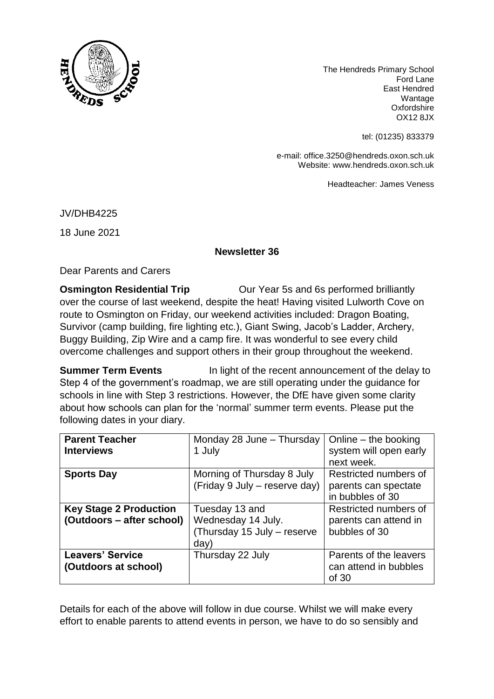

The Hendreds Primary School Ford Lane East Hendred Wantage **Oxfordshire** OX12 8JX

tel: (01235) 833379

e-mail: office.3250@hendreds.oxon.sch.uk Website: www.hendreds.oxon.sch.uk

Headteacher: James Veness

JV/DHB4225

18 June 2021

## **Newsletter 36**

Dear Parents and Carers

**Osmington Residential Trip Our Year 5s and 6s performed brilliantly** over the course of last weekend, despite the heat! Having visited Lulworth Cove on route to Osmington on Friday, our weekend activities included: Dragon Boating, Survivor (camp building, fire lighting etc.), Giant Swing, Jacob's Ladder, Archery, Buggy Building, Zip Wire and a camp fire. It was wonderful to see every child overcome challenges and support others in their group throughout the weekend.

**Summer Term Events** In light of the recent announcement of the delay to Step 4 of the government's roadmap, we are still operating under the guidance for schools in line with Step 3 restrictions. However, the DfE have given some clarity about how schools can plan for the 'normal' summer term events. Please put the following dates in your diary.

| <b>Parent Teacher</b><br><b>Interviews</b>                 | Monday 28 June - Thursday<br>1 July                                         | Online $-$ the booking<br>system will open early<br>next week.    |
|------------------------------------------------------------|-----------------------------------------------------------------------------|-------------------------------------------------------------------|
| <b>Sports Day</b>                                          | Morning of Thursday 8 July<br>(Friday 9 July - reserve day)                 | Restricted numbers of<br>parents can spectate<br>in bubbles of 30 |
| <b>Key Stage 2 Production</b><br>(Outdoors – after school) | Tuesday 13 and<br>Wednesday 14 July.<br>(Thursday 15 July - reserve<br>day) | Restricted numbers of<br>parents can attend in<br>bubbles of 30   |
| <b>Leavers' Service</b><br>(Outdoors at school)            | Thursday 22 July                                                            | Parents of the leavers<br>can attend in bubbles<br>of 30          |

Details for each of the above will follow in due course. Whilst we will make every effort to enable parents to attend events in person, we have to do so sensibly and